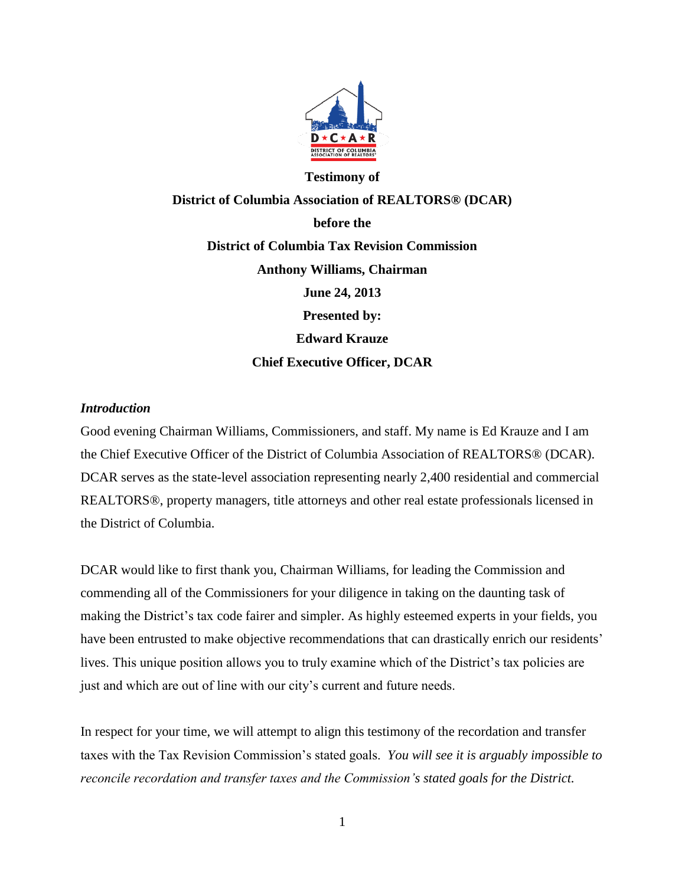

# **Testimony of District of Columbia Association of REALTORS® (DCAR) before the District of Columbia Tax Revision Commission Anthony Williams, Chairman June 24, 2013 Presented by: Edward Krauze Chief Executive Officer, DCAR**

### *Introduction*

Good evening Chairman Williams, Commissioners, and staff. My name is Ed Krauze and I am the Chief Executive Officer of the District of Columbia Association of REALTORS® (DCAR). DCAR serves as the state-level association representing nearly 2,400 residential and commercial REALTORS®, property managers, title attorneys and other real estate professionals licensed in the District of Columbia.

DCAR would like to first thank you, Chairman Williams, for leading the Commission and commending all of the Commissioners for your diligence in taking on the daunting task of making the District's tax code fairer and simpler. As highly esteemed experts in your fields, you have been entrusted to make objective recommendations that can drastically enrich our residents' lives. This unique position allows you to truly examine which of the District's tax policies are just and which are out of line with our city's current and future needs.

In respect for your time, we will attempt to align this testimony of the recordation and transfer taxes with the Tax Revision Commission's stated goals. *You will see it is arguably impossible to reconcile recordation and transfer taxes and the Commission's stated goals for the District.*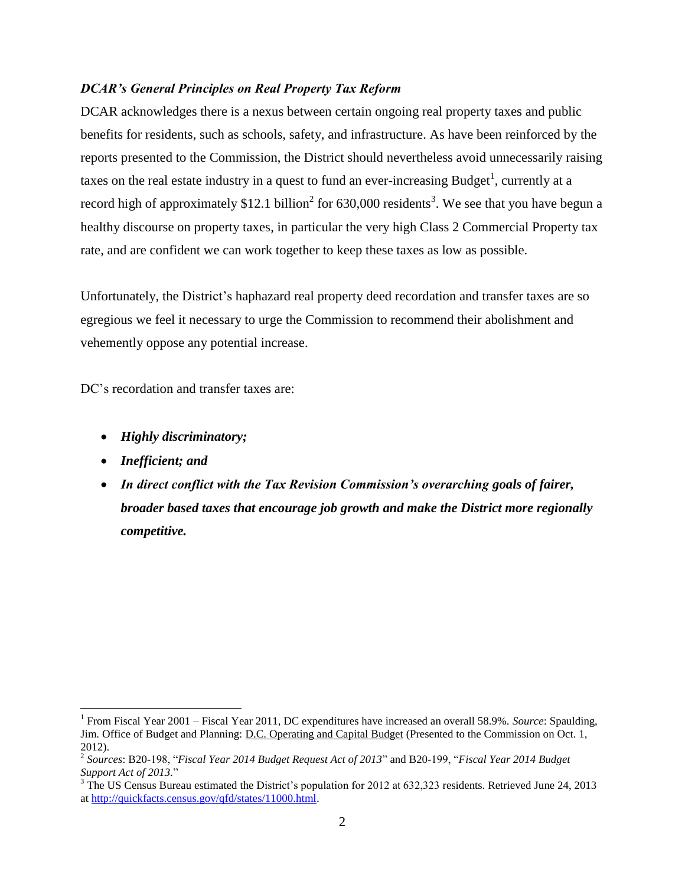#### *DCAR's General Principles on Real Property Tax Reform*

DCAR acknowledges there is a nexus between certain ongoing real property taxes and public benefits for residents, such as schools, safety, and infrastructure. As have been reinforced by the reports presented to the Commission, the District should nevertheless avoid unnecessarily raising taxes on the real estate industry in a quest to fund an ever-increasing Budget<sup>1</sup>, currently at a record high of approximately \$12.1 billion<sup>2</sup> for 630,000 residents<sup>3</sup>. We see that you have begun a healthy discourse on property taxes, in particular the very high Class 2 Commercial Property tax rate, and are confident we can work together to keep these taxes as low as possible.

Unfortunately, the District's haphazard real property deed recordation and transfer taxes are so egregious we feel it necessary to urge the Commission to recommend their abolishment and vehemently oppose any potential increase.

DC's recordation and transfer taxes are:

- *Highly discriminatory;*
- *Inefficient; and*

 $\overline{a}$ 

 *In direct conflict with the Tax Revision Commission's overarching goals of fairer, broader based taxes that encourage job growth and make the District more regionally competitive.* 

<sup>&</sup>lt;sup>1</sup> From Fiscal Year 2001 – Fiscal Year 2011, DC expenditures have increased an overall 58.9%. *Source*: Spaulding, Jim. Office of Budget and Planning: D.C. Operating and Capital Budget (Presented to the Commission on Oct. 1, 2012).

<sup>&</sup>lt;sup>2</sup> Sources: B20-198, "Fiscal Year 2014 Budget Request Act of 2013" and B20-199, "Fiscal Year 2014 Budget *Support Act of 2013.*‖

 $3$  The US Census Bureau estimated the District's population for 2012 at 632,323 residents. Retrieved June 24, 2013 a[t http://quickfacts.census.gov/qfd/states/11000.html.](http://quickfacts.census.gov/qfd/states/11000.html)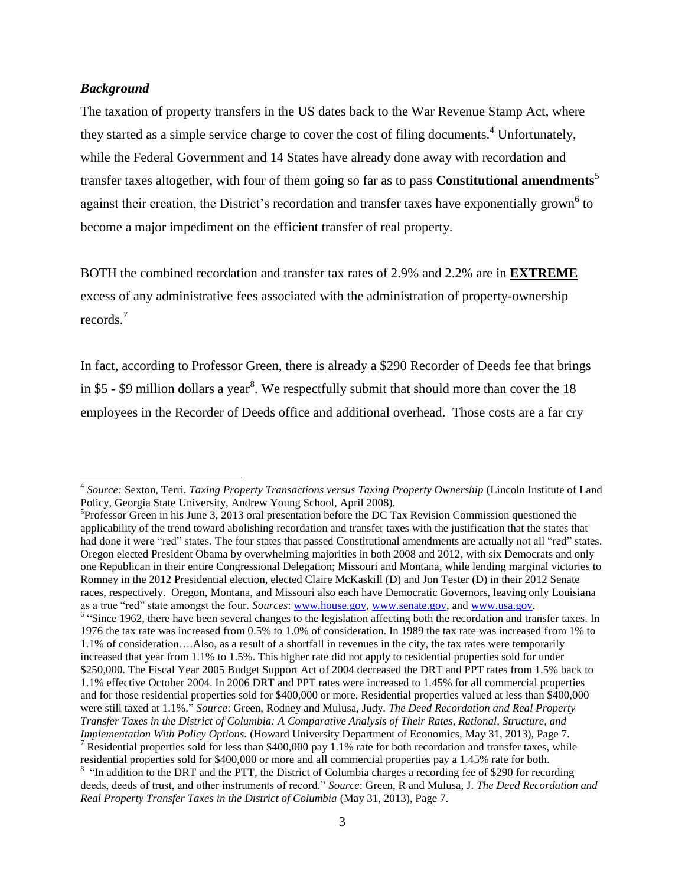#### *Background*

 $\overline{a}$ 

The taxation of property transfers in the US dates back to the War Revenue Stamp Act, where they started as a simple service charge to cover the cost of filing documents.<sup>4</sup> Unfortunately, while the Federal Government and 14 States have already done away with recordation and transfer taxes altogether, with four of them going so far as to pass **Constitutional amendments**<sup>5</sup> against their creation, the District's recordation and transfer taxes have exponentially grown<sup>6</sup> to become a major impediment on the efficient transfer of real property.

BOTH the combined recordation and transfer tax rates of 2.9% and 2.2% are in **EXTREME** excess of any administrative fees associated with the administration of property-ownership records.<sup>7</sup>

In fact, according to Professor Green, there is already a \$290 Recorder of Deeds fee that brings in \$5 - \$9 million dollars a year<sup>8</sup>. We respectfully submit that should more than cover the 18 employees in the Recorder of Deeds office and additional overhead. Those costs are a far cry

<sup>4</sup> *Source:* Sexton, Terri. *Taxing Property Transactions versus Taxing Property Ownership* (Lincoln Institute of Land Policy, Georgia State University, Andrew Young School, April 2008).

<sup>5</sup> Professor Green in his June 3, 2013 oral presentation before the DC Tax Revision Commission questioned the applicability of the trend toward abolishing recordation and transfer taxes with the justification that the states that had done it were "red" states. The four states that passed Constitutional amendments are actually not all "red" states. Oregon elected President Obama by overwhelming majorities in both 2008 and 2012, with six Democrats and only one Republican in their entire Congressional Delegation; Missouri and Montana, while lending marginal victories to Romney in the 2012 Presidential election, elected Claire McKaskill (D) and Jon Tester (D) in their 2012 Senate races, respectively. Oregon, Montana, and Missouri also each have Democratic Governors, leaving only Louisiana as a true "red" state amongst the four. *Sources*[: www.house.gov,](http://www.house.gov/) [www.senate.gov,](http://www.senate.gov/) and www.usa.gov. <sup>6</sup> "Since 1962, there have been several changes to the legislation affecting both the recordation and transfer taxes. In

<sup>1976</sup> the tax rate was increased from 0.5% to 1.0% of consideration. In 1989 the tax rate was increased from 1% to 1.1% of consideration….Also, as a result of a shortfall in revenues in the city, the tax rates were temporarily increased that year from 1.1% to 1.5%. This higher rate did not apply to residential properties sold for under \$250,000. The Fiscal Year 2005 Budget Support Act of 2004 decreased the DRT and PPT rates from 1.5% back to 1.1% effective October 2004. In 2006 DRT and PPT rates were increased to 1.45% for all commercial properties and for those residential properties sold for \$400,000 or more. Residential properties valued at less than \$400,000 were still taxed at 1.1%.‖ *Source*: Green, Rodney and Mulusa, Judy. *The Deed Recordation and Real Property Transfer Taxes in the District of Columbia: A Comparative Analysis of Their Rates, Rational, Structure, and Implementation With Policy Options.* (Howard University Department of Economics, May 31, 2013), Page 7. <sup>7</sup> Residential properties sold for less than \$400,000 pay 1.1% rate for both recordation and transfer taxes, while residential properties sold for \$400,000 or more and all commercial properties pay a 1.45% rate for both.

<sup>&</sup>lt;sup>8</sup> "In addition to the DRT and the PTT, the District of Columbia charges a recording fee of \$290 for recording deeds, deeds of trust, and other instruments of record." Source: Green, R and Mulusa, J. *The Deed Recordation and Real Property Transfer Taxes in the District of Columbia* (May 31, 2013), Page 7.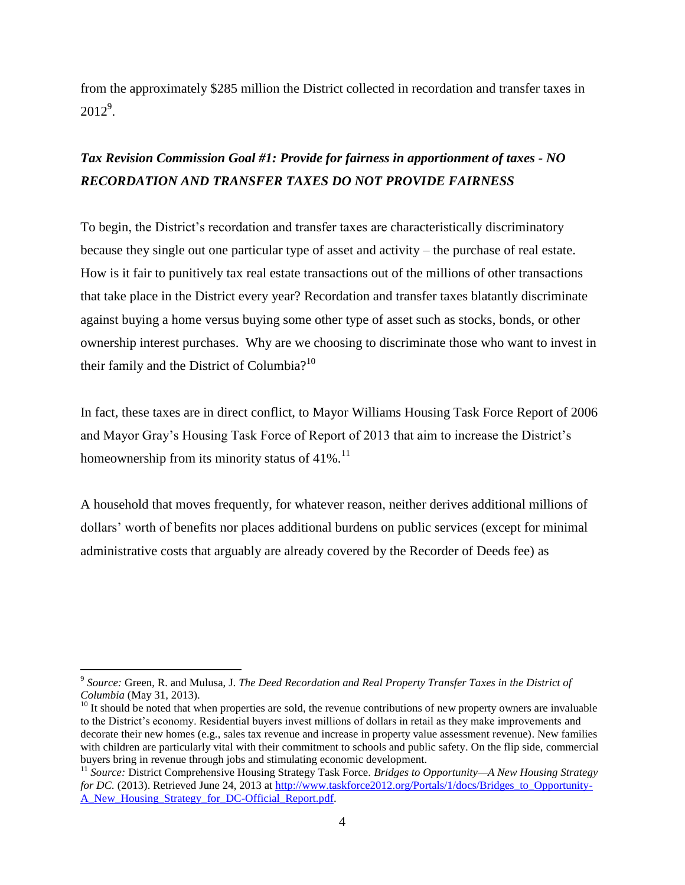from the approximately \$285 million the District collected in recordation and transfer taxes in  $2012^9$ .

### *Tax Revision Commission Goal #1: Provide for fairness in apportionment of taxes - NO RECORDATION AND TRANSFER TAXES DO NOT PROVIDE FAIRNESS*

To begin, the District's recordation and transfer taxes are characteristically discriminatory because they single out one particular type of asset and activity – the purchase of real estate. How is it fair to punitively tax real estate transactions out of the millions of other transactions that take place in the District every year? Recordation and transfer taxes blatantly discriminate against buying a home versus buying some other type of asset such as stocks, bonds, or other ownership interest purchases. Why are we choosing to discriminate those who want to invest in their family and the District of Columbia? $10$ 

In fact, these taxes are in direct conflict, to Mayor Williams Housing Task Force Report of 2006 and Mayor Gray's Housing Task Force of Report of 2013 that aim to increase the District's homeownership from its minority status of  $41\%$ .<sup>11</sup>

A household that moves frequently, for whatever reason, neither derives additional millions of dollars' worth of benefits nor places additional burdens on public services (except for minimal administrative costs that arguably are already covered by the Recorder of Deeds fee) as

<sup>9</sup> *Source:* Green, R. and Mulusa, J. *The Deed Recordation and Real Property Transfer Taxes in the District of Columbia* (May 31, 2013).

 $10$  It should be noted that when properties are sold, the revenue contributions of new property owners are invaluable to the District's economy. Residential buyers invest millions of dollars in retail as they make improvements and decorate their new homes (e.g., sales tax revenue and increase in property value assessment revenue). New families with children are particularly vital with their commitment to schools and public safety. On the flip side, commercial buyers bring in revenue through jobs and stimulating economic development.

<sup>11</sup> *Source:* District Comprehensive Housing Strategy Task Force. *Bridges to Opportunity—A New Housing Strategy for DC.* (2013). Retrieved June 24, 2013 at [http://www.taskforce2012.org/Portals/1/docs/Bridges\\_to\\_Opportunity-](http://www.taskforce2012.org/Portals/1/docs/Bridges_to_Opportunity-A_New_Housing_Strategy_for_DC-Official_Report.pdf)[A\\_New\\_Housing\\_Strategy\\_for\\_DC-Official\\_Report.pdf.](http://www.taskforce2012.org/Portals/1/docs/Bridges_to_Opportunity-A_New_Housing_Strategy_for_DC-Official_Report.pdf)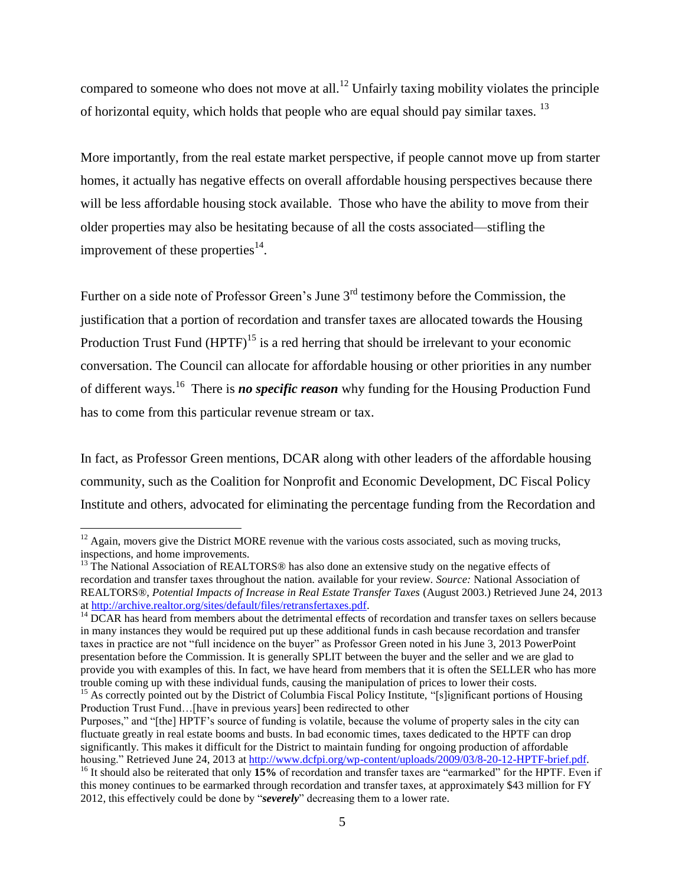compared to someone who does not move at all.<sup>12</sup> Unfairly taxing mobility violates the principle of horizontal equity, which holds that people who are equal should pay similar taxes.  $13$ 

More importantly, from the real estate market perspective, if people cannot move up from starter homes, it actually has negative effects on overall affordable housing perspectives because there will be less affordable housing stock available. Those who have the ability to move from their older properties may also be hesitating because of all the costs associated—stifling the improvement of these properties $^{14}$ .

Further on a side note of Professor Green's June 3rd testimony before the Commission, the justification that a portion of recordation and transfer taxes are allocated towards the Housing Production Trust Fund  $(HPTF)^{15}$  is a red herring that should be irrelevant to your economic conversation. The Council can allocate for affordable housing or other priorities in any number of different ways.<sup>16</sup> There is **no specific reason** why funding for the Housing Production Fund has to come from this particular revenue stream or tax.

In fact, as Professor Green mentions, DCAR along with other leaders of the affordable housing community, such as the Coalition for Nonprofit and Economic Development, DC Fiscal Policy Institute and others, advocated for eliminating the percentage funding from the Recordation and

 $12$  Again, movers give the District MORE revenue with the various costs associated, such as moving trucks, inspections, and home improvements.

<sup>&</sup>lt;sup>13</sup> The National Association of REALTORS<sup>®</sup> has also done an extensive study on the negative effects of recordation and transfer taxes throughout the nation. available for your review. *Source:* National Association of REALTORS®, *Potential Impacts of Increase in Real Estate Transfer Taxes* (August 2003.) Retrieved June 24, 2013 a[t http://archive.realtor.org/sites/default/files/retransfertaxes.pdf.](http://archive.realtor.org/sites/default/files/retransfertaxes.pdf)

 $<sup>14</sup>$  DCAR has heard from members about the detrimental effects of recordation and transfer taxes on sellers because</sup> in many instances they would be required put up these additional funds in cash because recordation and transfer taxes in practice are not "full incidence on the buyer" as Professor Green noted in his June 3, 2013 PowerPoint presentation before the Commission. It is generally SPLIT between the buyer and the seller and we are glad to provide you with examples of this. In fact, we have heard from members that it is often the SELLER who has more trouble coming up with these individual funds, causing the manipulation of prices to lower their costs.

<sup>&</sup>lt;sup>15</sup> As correctly pointed out by the District of Columbia Fiscal Policy Institute, "[s]ignificant portions of Housing Production Trust Fund…[have in previous years] been redirected to other

Purposes," and "[the] HPTF's source of funding is volatile, because the volume of property sales in the city can fluctuate greatly in real estate booms and busts. In bad economic times, taxes dedicated to the HPTF can drop significantly. This makes it difficult for the District to maintain funding for ongoing production of affordable housing." Retrieved June 24, 2013 at http://www.dcfpi.org/wp-content/uploads/2009/03/8-20-12-HPTF-brief.pdf.

<sup>&</sup>lt;sup>16</sup> It should also be reiterated that only 15% of recordation and transfer taxes are "earmarked" for the HPTF. Even if this money continues to be earmarked through recordation and transfer taxes, at approximately \$43 million for FY 2012, this effectively could be done by "*severely*" decreasing them to a lower rate.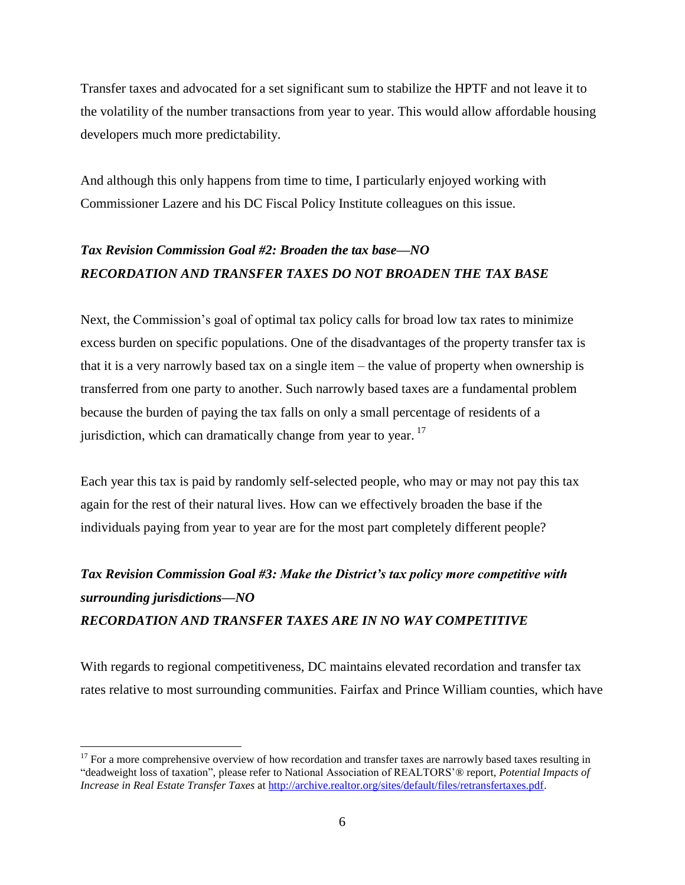Transfer taxes and advocated for a set significant sum to stabilize the HPTF and not leave it to the volatility of the number transactions from year to year. This would allow affordable housing developers much more predictability.

And although this only happens from time to time, I particularly enjoyed working with Commissioner Lazere and his DC Fiscal Policy Institute colleagues on this issue.

### *Tax Revision Commission Goal #2: Broaden the tax base—NO RECORDATION AND TRANSFER TAXES DO NOT BROADEN THE TAX BASE*

Next, the Commission's goal of optimal tax policy calls for broad low tax rates to minimize excess burden on specific populations. One of the disadvantages of the property transfer tax is that it is a very narrowly based tax on a single item – the value of property when ownership is transferred from one party to another. Such narrowly based taxes are a fundamental problem because the burden of paying the tax falls on only a small percentage of residents of a jurisdiction, which can dramatically change from year to year.<sup>17</sup>

Each year this tax is paid by randomly self-selected people, who may or may not pay this tax again for the rest of their natural lives. How can we effectively broaden the base if the individuals paying from year to year are for the most part completely different people?

## *Tax Revision Commission Goal #3: Make the District's tax policy more competitive with surrounding jurisdictions—NO RECORDATION AND TRANSFER TAXES ARE IN NO WAY COMPETITIVE*

With regards to regional competitiveness, DC maintains elevated recordation and transfer tax rates relative to most surrounding communities. Fairfax and Prince William counties, which have

 $17$  For a more comprehensive overview of how recordation and transfer taxes are narrowly based taxes resulting in ―deadweight loss of taxation‖, please refer to National Association of REALTORS'® report, *Potential Impacts of Increase in Real Estate Transfer Taxes* at [http://archive.realtor.org/sites/default/files/retransfertaxes.pdf.](http://archive.realtor.org/sites/default/files/retransfertaxes.pdf)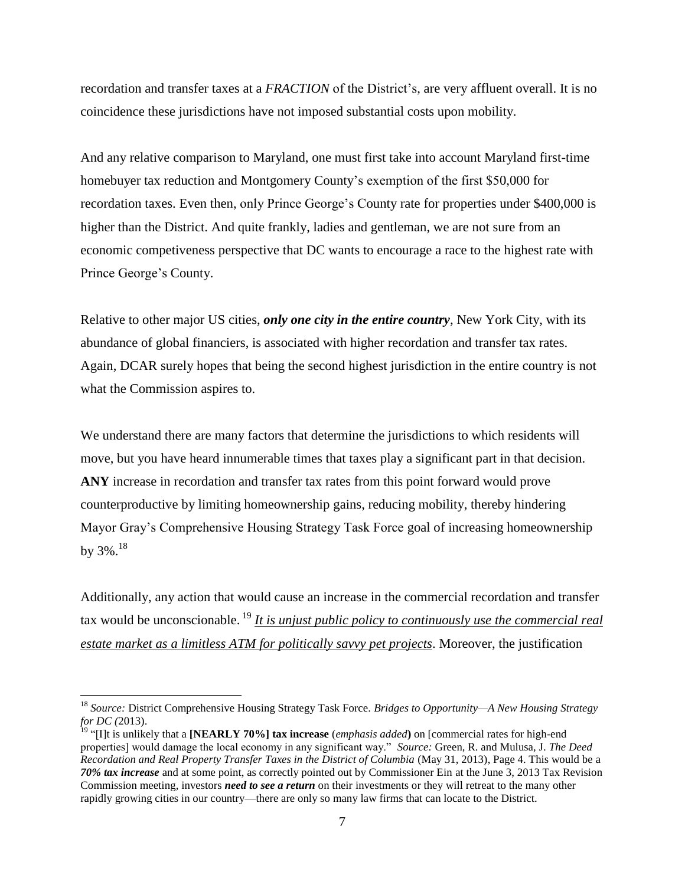recordation and transfer taxes at a *FRACTION* of the District's, are very affluent overall. It is no coincidence these jurisdictions have not imposed substantial costs upon mobility.

And any relative comparison to Maryland, one must first take into account Maryland first-time homebuyer tax reduction and Montgomery County's exemption of the first \$50,000 for recordation taxes. Even then, only Prince George's County rate for properties under \$400,000 is higher than the District. And quite frankly, ladies and gentleman, we are not sure from an economic competiveness perspective that DC wants to encourage a race to the highest rate with Prince George's County.

Relative to other major US cities, *only one city in the entire country*, New York City, with its abundance of global financiers, is associated with higher recordation and transfer tax rates. Again, DCAR surely hopes that being the second highest jurisdiction in the entire country is not what the Commission aspires to.

We understand there are many factors that determine the jurisdictions to which residents will move, but you have heard innumerable times that taxes play a significant part in that decision. **ANY** increase in recordation and transfer tax rates from this point forward would prove counterproductive by limiting homeownership gains, reducing mobility, thereby hindering Mayor Gray's Comprehensive Housing Strategy Task Force goal of increasing homeownership by  $3\%$ .<sup>18</sup>

Additionally, any action that would cause an increase in the commercial recordation and transfer tax would be unconscionable. <sup>19</sup> *It is unjust public policy to continuously use the commercial real estate market as a limitless ATM for politically savvy pet projects*. Moreover, the justification

<sup>18</sup> *Source:* District Comprehensive Housing Strategy Task Force. *Bridges to Opportunity—A New Housing Strategy for DC (*2013).

<sup>&</sup>lt;sup>9</sup> "[I]t is unlikely that a **[NEARLY 70%] tax increase** (*emphasis added*) on [commercial rates for high-end properties] would damage the local economy in any significant way.‖ *Source:* Green, R. and Mulusa, J. *The Deed Recordation and Real Property Transfer Taxes in the District of Columbia* (May 31, 2013), Page 4. This would be a *70% tax increase* and at some point, as correctly pointed out by Commissioner Ein at the June 3, 2013 Tax Revision Commission meeting, investors *need to see a return* on their investments or they will retreat to the many other rapidly growing cities in our country—there are only so many law firms that can locate to the District.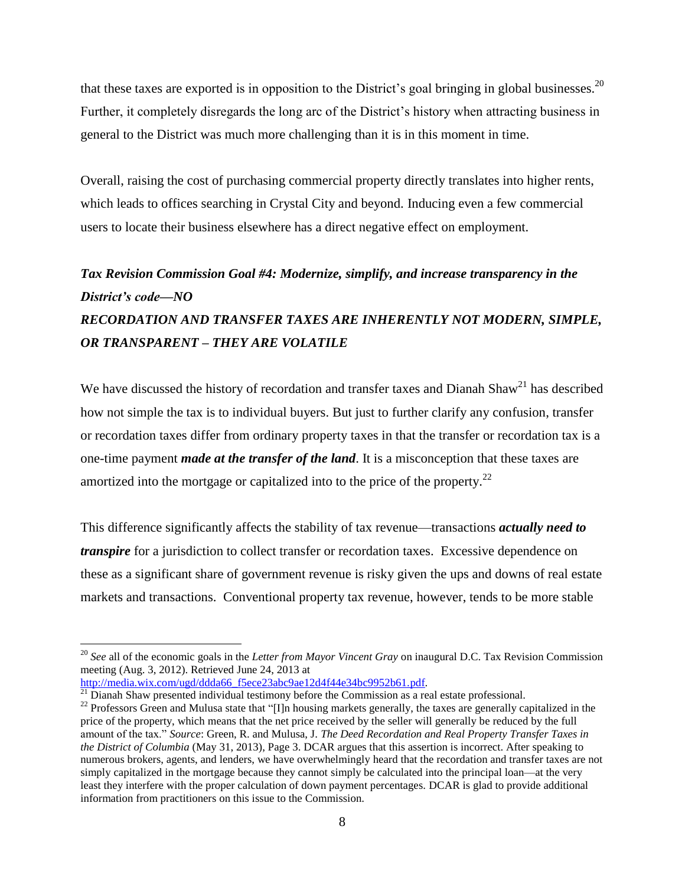that these taxes are exported is in opposition to the District's goal bringing in global businesses.<sup>20</sup> Further, it completely disregards the long arc of the District's history when attracting business in general to the District was much more challenging than it is in this moment in time.

Overall, raising the cost of purchasing commercial property directly translates into higher rents, which leads to offices searching in Crystal City and beyond. Inducing even a few commercial users to locate their business elsewhere has a direct negative effect on employment.

## *Tax Revision Commission Goal #4: Modernize, simplify, and increase transparency in the District's code—NO RECORDATION AND TRANSFER TAXES ARE INHERENTLY NOT MODERN, SIMPLE, OR TRANSPARENT – THEY ARE VOLATILE*

We have discussed the history of recordation and transfer taxes and Dianah Shaw<sup>21</sup> has described how not simple the tax is to individual buyers. But just to further clarify any confusion, transfer or recordation taxes differ from ordinary property taxes in that the transfer or recordation tax is a one-time payment *made at the transfer of the land*. It is a misconception that these taxes are amortized into the mortgage or capitalized into to the price of the property.<sup>22</sup>

This difference significantly affects the stability of tax revenue—transactions *actually need to transpire* for a jurisdiction to collect transfer or recordation taxes. Excessive dependence on these as a significant share of government revenue is risky given the ups and downs of real estate markets and transactions. Conventional property tax revenue, however, tends to be more stable

<sup>20</sup> *See* all of the economic goals in the *Letter from Mayor Vincent Gray* on inaugural D.C. Tax Revision Commission meeting (Aug. 3, 2012). Retrieved June 24, 2013 at

[http://media.wix.com/ugd/ddda66\\_f5ece23abc9ae12d4f44e34bc9952b61.pdf.](http://media.wix.com/ugd/ddda66_f5ece23abc9ae12d4f44e34bc9952b61.pdf)

 $21$  Dianah Shaw presented individual testimony before the Commission as a real estate professional.

<sup>&</sup>lt;sup>22</sup> Professors Green and Mulusa state that "[I]n housing markets generally, the taxes are generally capitalized in the price of the property, which means that the net price received by the seller will generally be reduced by the full amount of the tax.‖ *Source*: Green, R. and Mulusa, J. *The Deed Recordation and Real Property Transfer Taxes in the District of Columbia* (May 31, 2013), Page 3. DCAR argues that this assertion is incorrect. After speaking to numerous brokers, agents, and lenders, we have overwhelmingly heard that the recordation and transfer taxes are not simply capitalized in the mortgage because they cannot simply be calculated into the principal loan—at the very least they interfere with the proper calculation of down payment percentages. DCAR is glad to provide additional information from practitioners on this issue to the Commission.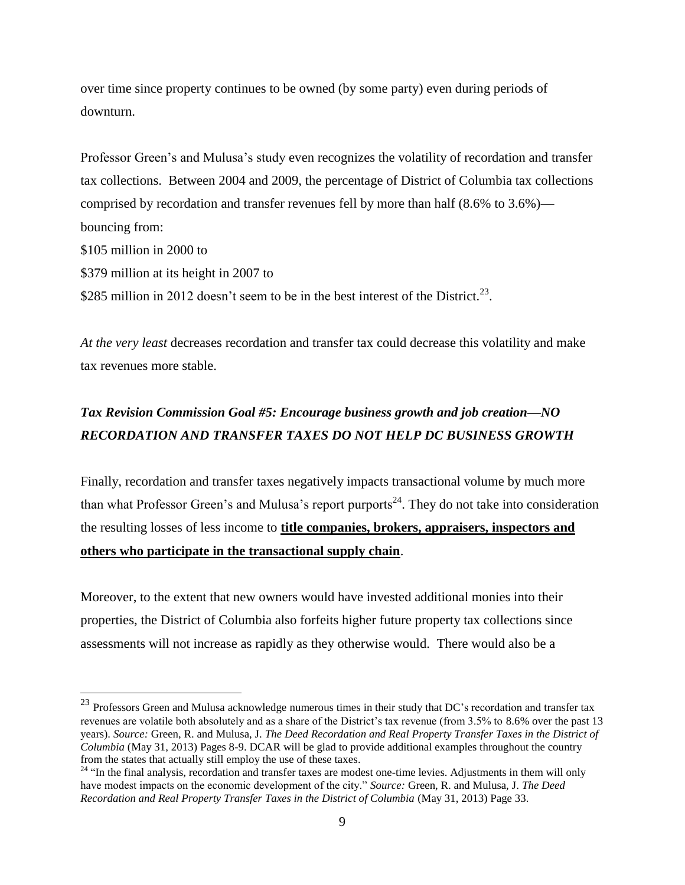over time since property continues to be owned (by some party) even during periods of downturn.

Professor Green's and Mulusa's study even recognizes the volatility of recordation and transfer tax collections. Between 2004 and 2009, the percentage of District of Columbia tax collections comprised by recordation and transfer revenues fell by more than half (8.6% to 3.6%) bouncing from: \$105 million in 2000 to \$379 million at its height in 2007 to \$285 million in 2012 doesn't seem to be in the best interest of the District.<sup>23</sup>.

*At the very least* decreases recordation and transfer tax could decrease this volatility and make tax revenues more stable.

### *Tax Revision Commission Goal #5: Encourage business growth and job creation—NO RECORDATION AND TRANSFER TAXES DO NOT HELP DC BUSINESS GROWTH*

Finally, recordation and transfer taxes negatively impacts transactional volume by much more than what Professor Green's and Mulusa's report purports<sup>24</sup>. They do not take into consideration the resulting losses of less income to **title companies, brokers, appraisers, inspectors and others who participate in the transactional supply chain**.

Moreover, to the extent that new owners would have invested additional monies into their properties, the District of Columbia also forfeits higher future property tax collections since assessments will not increase as rapidly as they otherwise would. There would also be a

<sup>&</sup>lt;sup>23</sup> Professors Green and Mulusa acknowledge numerous times in their study that DC's recordation and transfer tax revenues are volatile both absolutely and as a share of the District's tax revenue (from 3.5% to 8.6% over the past 13 years). *Source:* Green, R. and Mulusa, J. *The Deed Recordation and Real Property Transfer Taxes in the District of Columbia* (May 31, 2013) Pages 8-9. DCAR will be glad to provide additional examples throughout the country from the states that actually still employ the use of these taxes.

<sup>&</sup>lt;sup>24</sup> "In the final analysis, recordation and transfer taxes are modest one-time levies. Adjustments in them will only have modest impacts on the economic development of the city." Source: Green, R. and Mulusa, J. The Deed *Recordation and Real Property Transfer Taxes in the District of Columbia* (May 31, 2013) Page 33.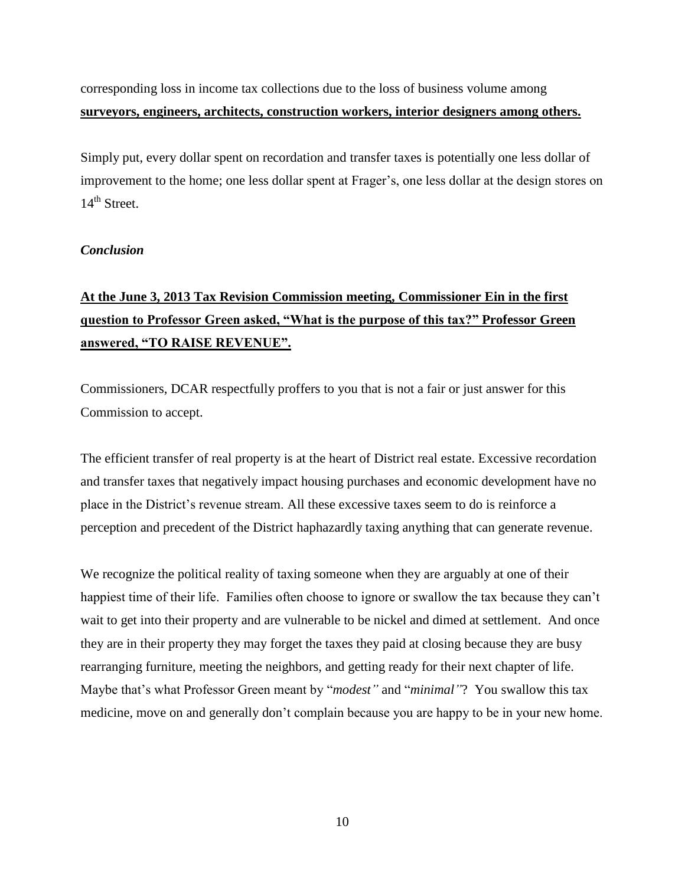corresponding loss in income tax collections due to the loss of business volume among **surveyors, engineers, architects, construction workers, interior designers among others.**

Simply put, every dollar spent on recordation and transfer taxes is potentially one less dollar of improvement to the home; one less dollar spent at Frager's, one less dollar at the design stores on  $14<sup>th</sup>$  Street.

#### *Conclusion*

## **At the June 3, 2013 Tax Revision Commission meeting, Commissioner Ein in the first question to Professor Green asked, "What is the purpose of this tax?" Professor Green answered, "TO RAISE REVENUE".**

Commissioners, DCAR respectfully proffers to you that is not a fair or just answer for this Commission to accept.

The efficient transfer of real property is at the heart of District real estate. Excessive recordation and transfer taxes that negatively impact housing purchases and economic development have no place in the District's revenue stream. All these excessive taxes seem to do is reinforce a perception and precedent of the District haphazardly taxing anything that can generate revenue.

We recognize the political reality of taxing someone when they are arguably at one of their happiest time of their life. Families often choose to ignore or swallow the tax because they can't wait to get into their property and are vulnerable to be nickel and dimed at settlement. And once they are in their property they may forget the taxes they paid at closing because they are busy rearranging furniture, meeting the neighbors, and getting ready for their next chapter of life. Maybe that's what Professor Green meant by "*modest"* and "*minimal*"? You swallow this tax medicine, move on and generally don't complain because you are happy to be in your new home.